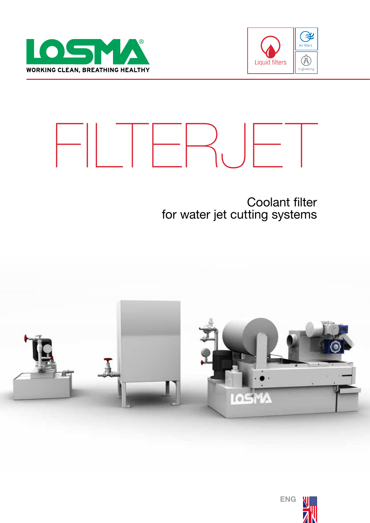





## Coolant filter for water jet cutting systems



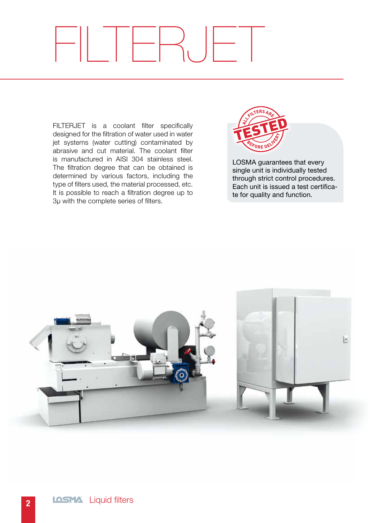# FILTERJET

FILTERJET is a coolant filter specifically designed for the filtration of water used in water jet systems (water cutting) contaminated by abrasive and cut material. The coolant filter is manufactured in AISI 304 stainless steel. The filtration degree that can be obtained is determined by various factors, including the type of filters used, the material processed, etc. It is possible to reach a filtration degree up to 3μ with the complete series of filters.



LOSMA guarantees that every single unit is individually tested through strict control procedures. Each unit is issued a test certificate for quality and function.

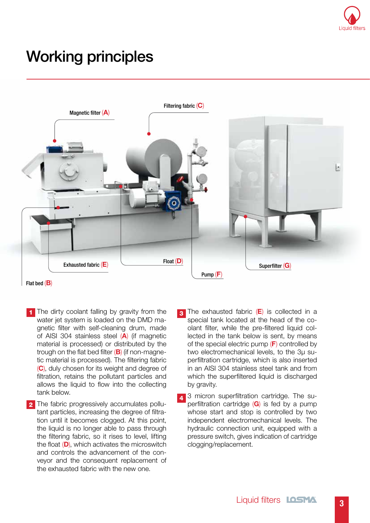

# Working principles



Flat bed  $(B)$ 

- **1** The dirty coolant falling by gravity from the water jet system is loaded on the DMD magnetic filter with self-cleaning drum, made of AISI 304 stainless steel (A) (if magnetic material is processed) or distributed by the trough on the flat bed filter  $(B)$  (if non-magnetic material is processed). The filtering fabric (C), duly chosen for its weight and degree of filtration, retains the pollutant particles and allows the liquid to flow into the collecting tank below.
- 2 The fabric progressively accumulates pollutant particles, increasing the degree of filtration until it becomes clogged. At this point, the liquid is no longer able to pass through the filtering fabric, so it rises to level, lifting the float (D), which activates the microswitch and controls the advancement of the conveyor and the consequent replacement of the exhausted fabric with the new one.
- The exhausted fabric  $(E)$  is collected in a special tank located at the head of the coolant filter, while the pre-filtered liquid collected in the tank below is sent, by means of the special electric pump  $(F)$  controlled by two electromechanical levels, to the 3μ superfiltration cartridge, which is also inserted in an AISI 304 stainless steel tank and from which the superfiltered liquid is discharged by gravity. 3
- 4 3 micron superfiltration cartridge. The superfiltration cartridge  $(G)$  is fed by a pump whose start and stop is controlled by two independent electromechanical levels. The hydraulic connection unit, equipped with a pressure switch, gives indication of cartridge clogging/replacement.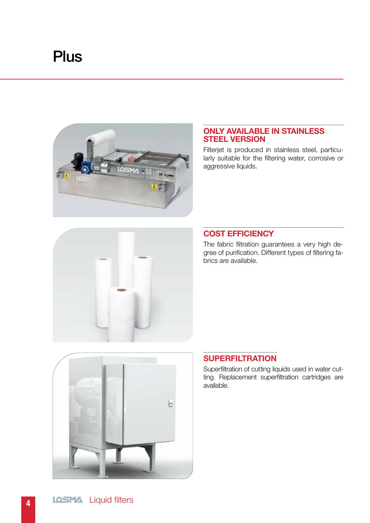# **Plus**



#### ONLY AVAILABLE IN STAINLESS STEEL VERSION

Filterjet is produced in stainless steel, particularly suitable for the filtering water, corrosive or aggressive liquids.



### COST EFFICIENCY

The fabric filtration guarantees a very high degree of purification. Different types of filtering fabrics are available.



## **SUPERFILTRATION**

Superfiltration of cutting liquids used in water cutting. Replacement superfiltration cartridges are available.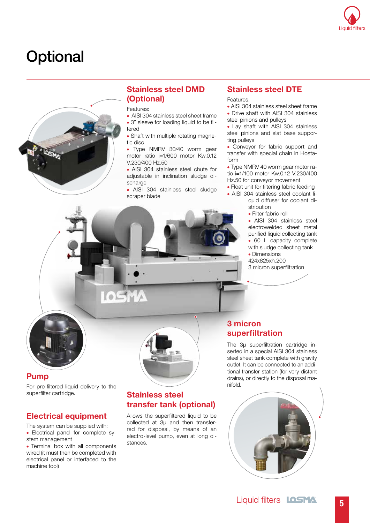

## **Optional**



## Stainless steel DMD (Optional)

Features:

- AISI 304 stainless steel sheet frame • 3" sleeve for loading liquid to be filtered
- Shaft with multiple rotating magnetic disc

• Type NMRV 30/40 worm gear motor ratio i=1/600 motor Kw.0.12 V.230/400 Hz.50

• AISI 304 stainless steel chute for adjustable in inclination sludge discharge

• AISI 304 stainless steel sludge scraper blade

#### Stainless steel DTE

Features:

- AISI 304 stainless steel sheet frame
- Drive shaft with AISI 304 stainless steel pinions and pulleys

• Lay shaft with AISI 304 stainless steel pinions and slat base supporting pulleys

• Conveyor for fabric support and transfer with special chain in Hostaform

• Type NMRV 40 worm gear motor ratio i=1/100 motor Kw.0.12 V.230/400 Hz.50 for conveyor movement

• Float unit for filtering fabric feeding

• AISI 304 stainless steel coolant liquid diffuser for coolant distribution

• Filter fabric roll

• AISI 304 stainless steel electrowelded sheet metal purified liquid collecting tank • 60 L capacity complete with sludge collecting tank

• Dimensions

424x825xh.200 3 micron superfiltration



#### Pump

For pre-filtered liquid delivery to the superfilter cartridge.

#### Electrical equipment

The system can be supplied with: • Electrical panel for complete system management

• Terminal box with all components wired (it must then be completed with electrical panel or interfaced to the machine tool)



#### Stainless steel transfer tank (optional)

Allows the superfiltered liquid to be collected at 3μ and then transferred for disposal, by means of an electro-level pump, even at long distances.

## 3 micron superfiltration

The 3u superfiltration cartridge inserted in a special AISI 304 stainless steel sheet tank complete with gravity outlet. It can be connected to an additional transfer station (for very distant drains), or directly to the disposal manifold.

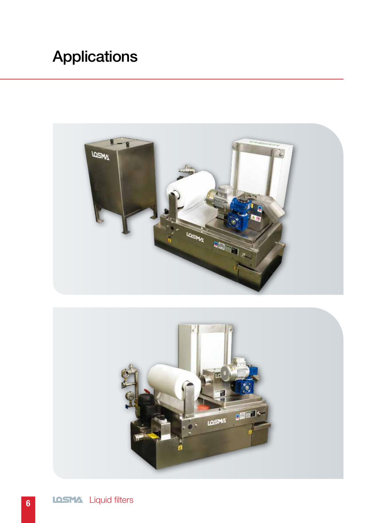# Applications



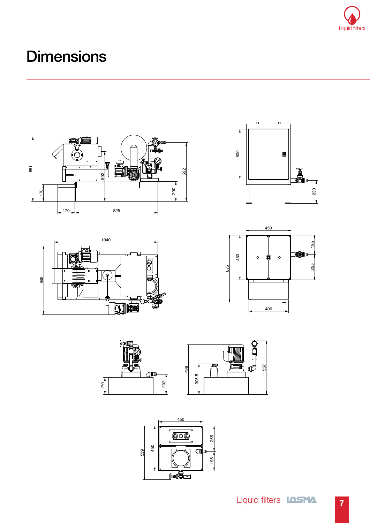

# **Dimensions**